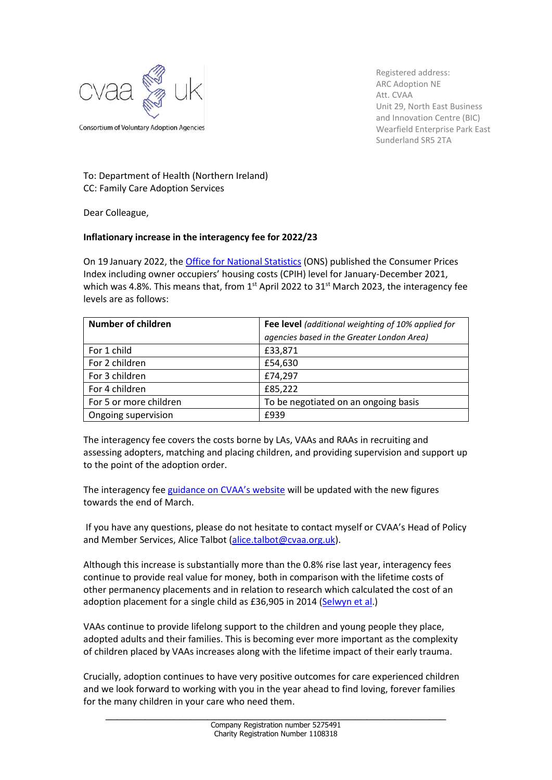

Registered address: ARC Adoption NE Att. CVAA Unit 29, North East Business and Innovation Centre (BIC) Wearfield Enterprise Park East Sunderland SR5 2TA

## To: Department of Health (Northern Ireland) CC: Family Care Adoption Services

Dear Colleague,

## **Inflationary increase in the interagency fee for 2022/23**

On 19 January 2022, the [Office for National Statistics](https://www.ons.gov.uk/economy/inflationandpriceindices) (ONS) published the Consumer Prices Index including owner occupiers' housing costs (CPIH) level for January-December 2021, which was 4.8%. This means that, from  $1<sup>st</sup>$  April 2022 to 31 $<sup>st</sup>$  March 2023, the interagency fee</sup> levels are as follows:

| <b>Number of children</b> | Fee level (additional weighting of 10% applied for |
|---------------------------|----------------------------------------------------|
|                           | agencies based in the Greater London Area)         |
| For 1 child               | £33,871                                            |
| For 2 children            | £54,630                                            |
| For 3 children            | £74,297                                            |
| For 4 children            | £85,222                                            |
| For 5 or more children    | To be negotiated on an ongoing basis               |
| Ongoing supervision       | £939                                               |

The interagency fee covers the costs borne by LAs, VAAs and RAAs in recruiting and assessing adopters, matching and placing children, and providing supervision and support up to the point of the adoption order.

The interagency fee [guidance on CVAA's website](https://www.cvaa.org.uk/interagency-fee) will be updated with the new figures towards the end of March.

If you have any questions, please do not hesitate to contact myself or CVAA's Head of Policy and Member Services, Alice Talbot [\(alice.talbot@cvaa.org.uk\)](mailto:alice.talbot@cvaa.org.uk).

Although this increase is substantially more than the 0.8% rise last year, interagency fees continue to provide real value for money, both in comparison with the lifetime costs of other permanency placements and in relation to research which calculated the cost of an adoption placement for a single child as £36,905 in 2014 [\(Selwyn et](https://www.bristol.ac.uk/media-library/sites/sps/migrated/documents/rk6582afinalreport.pdf) al.)

VAAs continue to provide lifelong support to the children and young people they place, adopted adults and their families. This is becoming ever more important as the complexity of children placed by VAAs increases along with the lifetime impact of their early trauma.

Crucially, adoption continues to have very positive outcomes for care experienced children and we look forward to working with you in the year ahead to find loving, forever families for the many children in your care who need them.